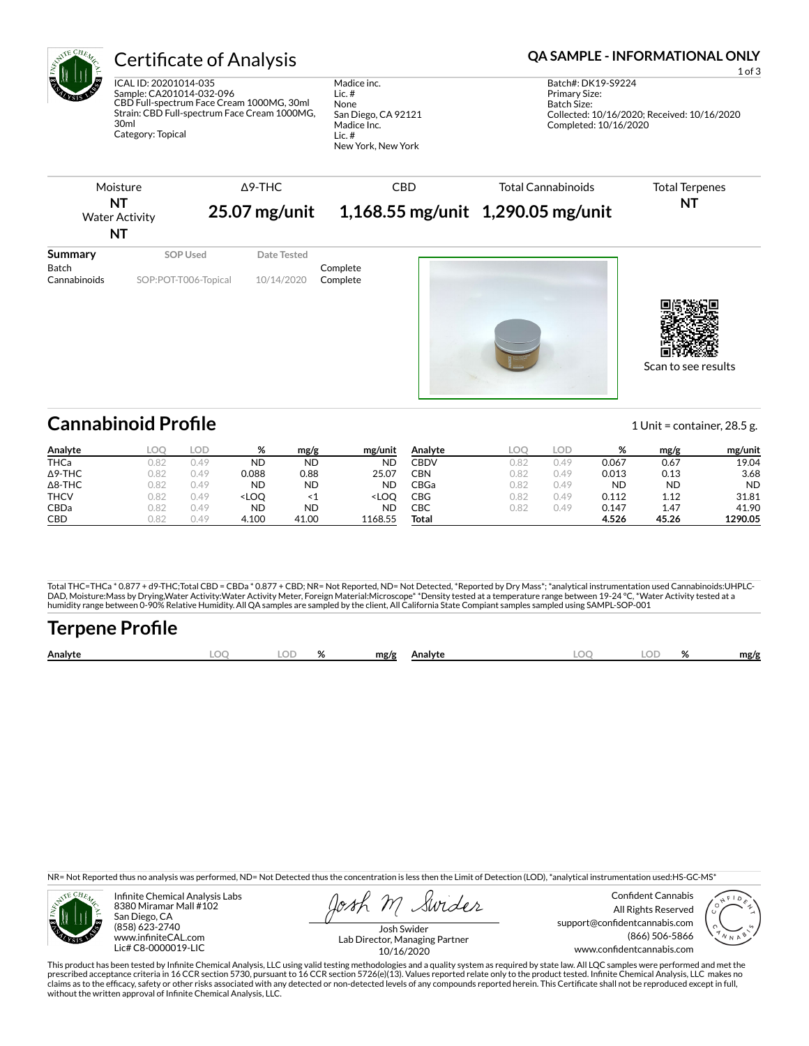

ICAL ID: 20201014-035 Sample: CA201014-032-096 CBD Full-spectrum Face Cream 1000MG, 30ml Strain: CBD Full-spectrum Face Cream 1000MG, 30ml Category: Topical

Madice inc. Lic. # None San Diego, CA 92121 Madice Inc. Lic. # New York, New York

### Certificate of Analysis **Certificate of Analysis QA SAMPLE - INFORMATIONAL ONLY**

1 of 3 Batch#: DK19-S9224 Primary Size: Batch Size: Collected: 10/16/2020; Received: 10/16/2020 Completed: 10/16/2020

| SOP Used<br>Date Tested<br>Complete | Moisture<br>NT<br><b>Water Activity</b><br>NT |                      | $\triangle$ 9-THC<br>$25.07$ mg/unit | <b>CBD</b> | <b>Total Cannabinoids</b><br>1,168.55 mg/unit 1,290.05 mg/unit | <b>Total Terpenes</b><br>NT |  |
|-------------------------------------|-----------------------------------------------|----------------------|--------------------------------------|------------|----------------------------------------------------------------|-----------------------------|--|
|                                     | Summary<br><b>Batch</b><br>Cannabinoids       | SOP:POT-T006-Topical | 10/14/2020                           | Complete   |                                                                |                             |  |

Scan to see results

## **Cannabinoid Profile** 1 Unit = container, 28.5 g.

**Analyte LOQ LOD % mg/g mg/unit** THCa 0.82 0.49 ND ND ND Δ9-THC 0.82 0.49 0.088 0.88 25.07 Δ8-THC 0.82 0.49 ND ND ND THCV 0.82 0.49 <LOQ <1 <LOQ CBDa 0.82 0.49 ND ND ND CBD 0.82 0.49 4.100 41.00 1168.55 **Analyte LOQ LOD % mg/g mg/unit** CBDV 0.82 0.49 0.067 0.67 19.04 CBN 0.82 0.49 0.013 0.13 3.68 CBGa 0.82 0.49 ND ND ND CBG 0.82 0.49 0.112 1.12 31.81 CBC 0.82 0.49 0.147 1.47 41.90 **Total 4.526 45.26 1290.05**

Total THC=THCa \* 0.877 + d9-THC;Total CBD = CBDa \* 0.877 + CBD; NR= Not Reported, ND= Not Detected, \*Reported by Dry Mass\*; \*analytical instrumentation used Cannabinoids:UHPLC-DAD, Moisture:Mass by Drying,Water Activity:Water Activity Meter, Foreign Material:Microscope\* \*Density tested at a temperature range between 19-24 °C, \*Water Activity tested at a<br>humidity range between 0-90% Relative Humi

# **Terpene Profile**

| Analyte |  | $\mathbf{a}$ | mg/g | Analvte | ገር<br><b>Dealer</b> | $\alpha$<br>$\sqrt{2}$ | mg/g |
|---------|--|--------------|------|---------|---------------------|------------------------|------|
|         |  |              |      |         |                     |                        |      |

NR= Not Reported thus no analysis was performed, ND= Not Detected thus the concentration is less then the Limit of Detection (LOD), \*analytical instrumentation used:HS-GC-MS\*



Infinite Chemical Analysis Labs 8380 Miramar Mall #102 San Diego, CA (858) 623-2740 www.infiniteCAL.com Lic# C8-0000019-LIC

Swider

Confident Cannabis All Rights Reserved support@confidentcannabis.com (866) 506-5866 www.confidentcannabis.com



Josh Swider Lab Director, Managing Partner 10/16/2020

This product has been tested by Infinite Chemical Analysis, LLC using valid testing methodologies and a quality system as required by state law. All LQC samples were performed and met the prescribed acceptance criteria in 16 CCR section 5730, pursuant to 16 CCR section 5726(e)(13). Values reported relate only to the product tested. Infinite Chemical Analysis, LLC makes no<br>claims as to the efficacy, safety o without the written approval of Infinite Chemical Analysis, LLC.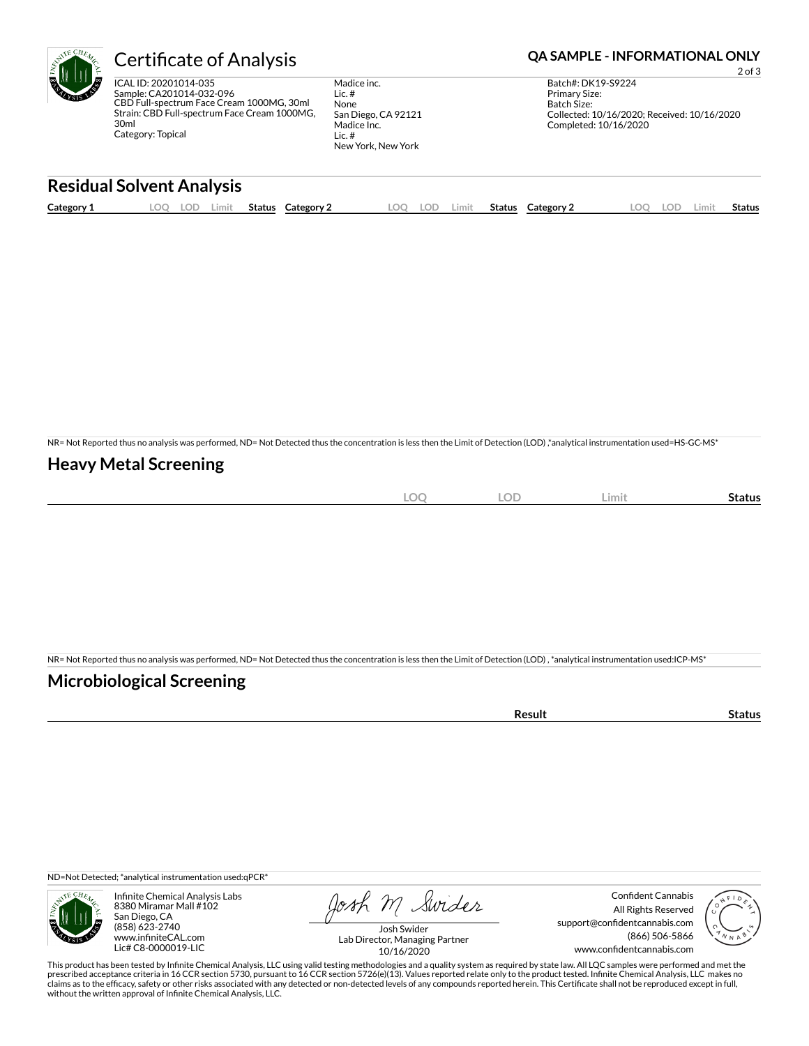

ICAL ID: 20201014-035 Sample: CA201014-032-096 CBD Full-spectrum Face Cream 1000MG, 30ml Strain: CBD Full-spectrum Face Cream 1000MG, 30ml Category: Topical

Madice inc. Lic. # None San Diego, CA 92121 Madice Inc. Lic. # New York, New York

### Certificate of Analysis **Certificate of Analysis QA SAMPLE - INFORMATIONAL ONLY**

2 of 3

Batch#: DK19-S9224 Primary Size: Batch Size: Collected: 10/16/2020; Received: 10/16/2020 Completed: 10/16/2020

### **Residual Solvent Analysis**

| Category 1 | LOC<br>LUL' | Limit | Status | Category 2 | LOQ | LOD | Limit | Status | Category 2 | LOC | LOD. | .imit | Status |
|------------|-------------|-------|--------|------------|-----|-----|-------|--------|------------|-----|------|-------|--------|
|            |             |       |        |            |     |     |       |        |            |     |      |       |        |

NR= Not Reported thus no analysis was performed, ND= Not Detected thus the concentration is less then the Limit of Detection (LOD) ,\*analytical instrumentation used=HS-GC-MS\*

#### **Heavy Metal Screening**

| $\sim$<br>$-$<br>$\sim$<br>$\sim$ | $\cap$<br>LUD | ∠imit∶ | Status |
|-----------------------------------|---------------|--------|--------|
|                                   |               |        |        |

NR= Not Reported thus no analysis was performed, ND= Not Detected thus the concentration is less then the Limit of Detection (LOD) , \*analytical instrumentation used:ICP-MS\*

#### **Microbiological Screening**

| ` sult ∴ |  |
|----------|--|
|          |  |

ND=Not Detected; \*analytical instrumentation used:qPCR\*



Infinite Chemical Analysis Labs 8380 Miramar Mall #102 San Diego, CA (858) 623-2740 www.infiniteCAL.com Lic# C8-0000019-LIC

Josh M Swider

Confident Cannabis All Rights Reserved support@confidentcannabis.com (866) 506-5866 www.confidentcannabis.com



Josh Swider Lab Director, Managing Partner 10/16/2020

This product has been tested by Infinite Chemical Analysis, LLC using valid testing methodologies and a quality system as required by state law. All LQC samples were performed and met the prescribed acceptance criteria in 16 CCR section 5730, pursuant to 16 CCR section 5726(e)(13). Values reported relate only to the product tested. Infinite Chemical Analysis, LLC makes no<br>claims as to the efficacy, safety o without the written approval of Infinite Chemical Analysis, LLC.